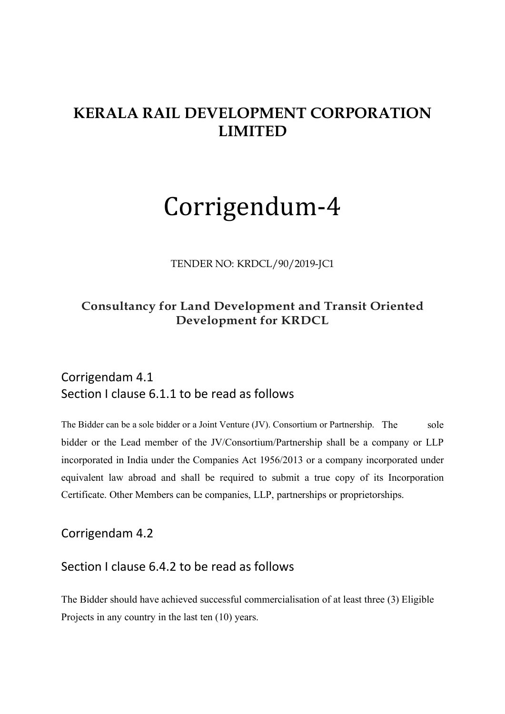# **KERALA RAIL DEVELOPMENT CORPORATION LIMITED**

# Corrigendum-4

TENDER NO: KRDCL/90/2019-JC1

## **Consultancy for Land Development and Transit Oriented Development for KRDCL**

# Corrigendam 4.1 Section I clause 6.1.1 to be read as follows

The Bidder can be a sole bidder or a Joint Venture (JV). Consortium or Partnership. The sole bidder or the Lead member of the JV/Consortium/Partnership shall be a company or LLP incorporated in India under the Companies Act 1956/2013 or a company incorporated under equivalent law abroad and shall be required to submit a true copy of its Incorporation Certificate. Other Members can be companies, LLP, partnerships or proprietorships.

Corrigendam 4.2

#### Section I clause 6.4.2 to be read as follows

The Bidder should have achieved successful commercialisation of at least three (3) Eligible Projects in any country in the last ten (10) years.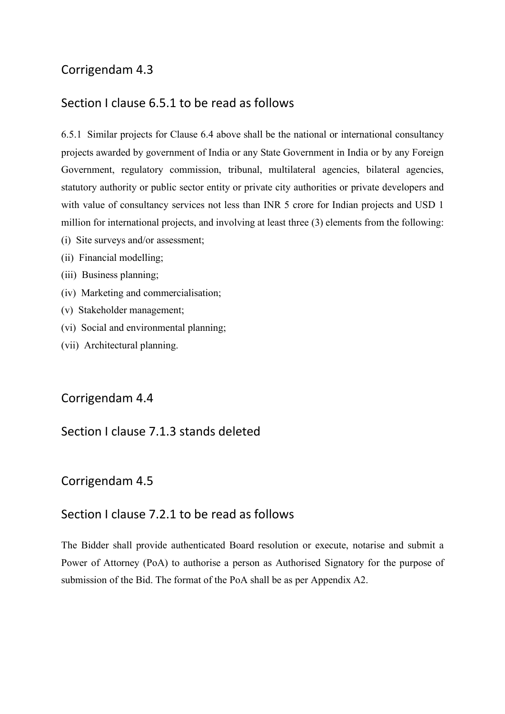# Corrigendam 4.3

# Section I clause 6.5.1 to be read as follows

6.5.1 Similar projects for Clause 6.4 above shall be the national or international consultancy projects awarded by government of India or any State Government in India or by any Foreign Government, regulatory commission, tribunal, multilateral agencies, bilateral agencies, statutory authority or public sector entity or private city authorities or private developers and with value of consultancy services not less than INR 5 crore for Indian projects and USD 1 million for international projects, and involving at least three (3) elements from the following:

- (i) Site surveys and/or assessment;
- (ii) Financial modelling;
- (iii) Business planning;
- (iv) Marketing and commercialisation;
- (v) Stakeholder management;
- (vi) Social and environmental planning;
- (vii) Architectural planning.

#### Corrigendam 4.4

#### Section I clause 7.1.3 stands deleted

#### Corrigendam 4.5

#### Section I clause 7.2.1 to be read as follows

The Bidder shall provide authenticated Board resolution or execute, notarise and submit a Power of Attorney (PoA) to authorise a person as Authorised Signatory for the purpose of submission of the Bid. The format of the PoA shall be as per Appendix A2.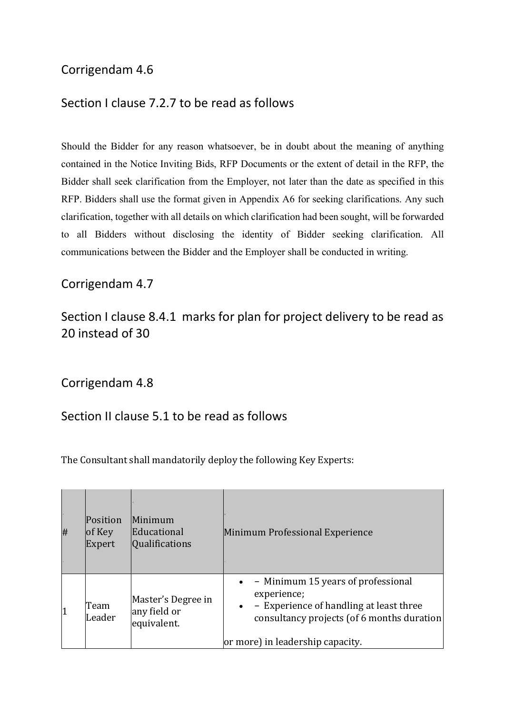# Corrigendam 4.6

## Section I clause 7.2.7 to be read as follows

Should the Bidder for any reason whatsoever, be in doubt about the meaning of anything contained in the Notice Inviting Bids, RFP Documents or the extent of detail in the RFP, the Bidder shall seek clarification from the Employer, not later than the date as specified in this RFP. Bidders shall use the format given in Appendix A6 for seeking clarifications. Any such clarification, together with all details on which clarification had been sought, will be forwarded to all Bidders without disclosing the identity of Bidder seeking clarification. All communications between the Bidder and the Employer shall be conducted in writing.

#### Corrigendam 4.7

# Section I clause 8.4.1 marks for plan for project delivery to be read as 20 instead of 30

Corrigendam 4.8

## Section II clause 5.1 to be read as follows

The Consultant shall mandatorily deploy the following Key Experts:

| # | Position<br>$\log$ Key<br>Expert | Minimum<br>Educational<br>Qualifications          | Minimum Professional Experience                                                                                                                                                                          |
|---|----------------------------------|---------------------------------------------------|----------------------------------------------------------------------------------------------------------------------------------------------------------------------------------------------------------|
| 1 | Team<br>Leader                   | Master's Degree in<br>any field or<br>equivalent. | - Minimum 15 years of professional<br>$\bullet$<br>experience;<br>- Experience of handling at least three<br>$\bullet$<br>consultancy projects (of 6 months duration<br>or more) in leadership capacity. |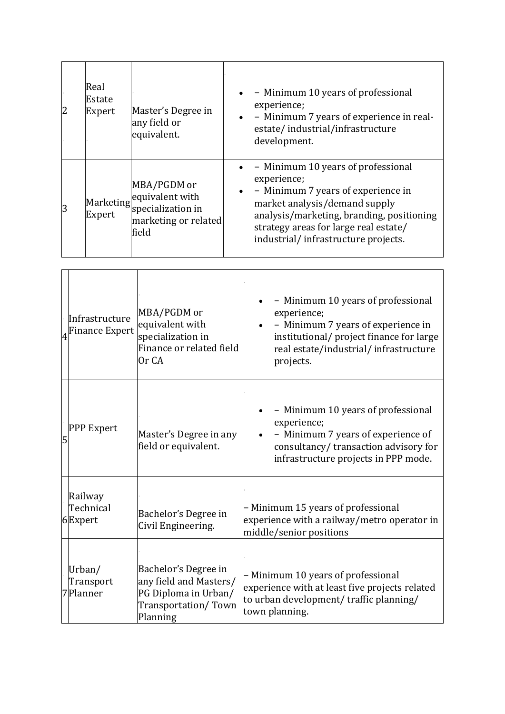| 2 | Real<br>Estate<br>Expert | Master's Degree in<br>any field or<br>equivalent.                                                     | - Minimum 10 years of professional<br>$\bullet$<br>experience;<br>- Minimum 7 years of experience in real-<br>$\bullet$<br>estate/industrial/infrastructure<br>development.                                                                                        |
|---|--------------------------|-------------------------------------------------------------------------------------------------------|--------------------------------------------------------------------------------------------------------------------------------------------------------------------------------------------------------------------------------------------------------------------|
| 3 | Expert                   | MBA/PGDM or<br>Marketing equivalent with<br>Ermort specialization in<br>marketing or related<br>field | - Minimum 10 years of professional<br>experience;<br>- Minimum 7 years of experience in<br>$\bullet$<br>market analysis/demand supply<br>analysis/marketing, branding, positioning<br>strategy areas for large real estate/<br>industrial/infrastructure projects. |

|   | Infrastructure<br><b>Finance Expert</b> | MBA/PGDM or<br>equivalent with<br>specialization in<br>Finance or related field<br>Or CA                  | - Minimum 10 years of professional<br>experience;<br>- Minimum 7 years of experience in<br>institutional/ project finance for large<br>real estate/industrial/infrastructure<br>projects. |
|---|-----------------------------------------|-----------------------------------------------------------------------------------------------------------|-------------------------------------------------------------------------------------------------------------------------------------------------------------------------------------------|
| 5 | <b>PPP Expert</b>                       | Master's Degree in any<br>field or equivalent.                                                            | - Minimum 10 years of professional<br>experience;<br>- Minimum 7 years of experience of<br>consultancy/transaction advisory for<br>infrastructure projects in PPP mode.                   |
|   | Railway<br>Technical<br>6Expert         | Bachelor's Degree in<br>Civil Engineering.                                                                | - Minimum 15 years of professional<br>experience with a railway/metro operator in<br>middle/senior positions                                                                              |
|   | Urban/<br>Transport<br>Planner          | Bachelor's Degree in<br>any field and Masters/<br>PG Diploma in Urban/<br>Transportation/Town<br>Planning | - Minimum 10 years of professional<br>experience with at least five projects related<br>to urban development/ traffic planning/<br>town planning.                                         |